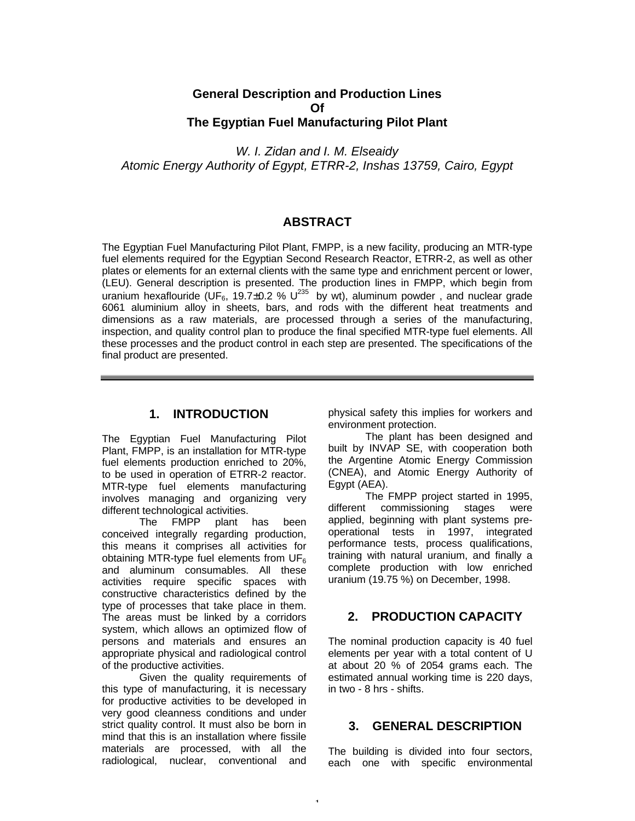# **General Description and Production Lines Of The Egyptian Fuel Manufacturing Pilot Plant**

*W. I. Zidan and I. M. Elseaidy Atomic Energy Authority of Egypt, ETRR-2, Inshas 13759, Cairo, Egypt*

# **ABSTRACT**

The Egyptian Fuel Manufacturing Pilot Plant, FMPP, is a new facility, producing an MTR-type fuel elements required for the Egyptian Second Research Reactor, ETRR-2, as well as other plates or elements for an external clients with the same type and enrichment percent or lower, (LEU). General description is presented. The production lines in FMPP, which begin from uranium hexaflouride (UF<sub>6</sub>, 19.7 $\pm$ 0.2 % U<sup>235</sup> by wt), aluminum powder, and nuclear grade 6061 aluminium alloy in sheets, bars, and rods with the different heat treatments and dimensions as a raw materials, are processed through a series of the manufacturing, inspection, and quality control plan to produce the final specified MTR-type fuel elements. All these processes and the product control in each step are presented. The specifications of the final product are presented.

1

# **1. INTRODUCTION**

The Egyptian Fuel Manufacturing Pilot Plant, FMPP, is an installation for MTR-type fuel elements production enriched to 20%, to be used in operation of ETRR-2 reactor. MTR-type fuel elements manufacturing involves managing and organizing very different technological activities.

The FMPP plant has been conceived integrally regarding production, this means it comprises all activities for obtaining MTR-type fuel elements from  $UF<sub>6</sub>$ and aluminum consumables. All these activities require specific spaces with constructive characteristics defined by the type of processes that take place in them. The areas must be linked by a corridors system, which allows an optimized flow of persons and materials and ensures an appropriate physical and radiological control of the productive activities.

Given the quality requirements of this type of manufacturing, it is necessary for productive activities to be developed in very good cleanness conditions and under strict quality control. It must also be born in mind that this is an installation where fissile materials are processed, with all the radiological, nuclear, conventional and physical safety this implies for workers and environment protection.

The plant has been designed and built by INVAP SE, with cooperation both the Argentine Atomic Energy Commission (CNEA), and Atomic Energy Authority of Egypt (AEA).

The FMPP project started in 1995, different commissioning stages were applied, beginning with plant systems preoperational tests in 1997, integrated performance tests, process qualifications, training with natural uranium, and finally a complete production with low enriched uranium (19.75 %) on December, 1998.

# **2. PRODUCTION CAPACITY**

The nominal production capacity is 40 fuel elements per year with a total content of U at about 20 % of 2054 grams each. The estimated annual working time is 220 days, in two - 8 hrs - shifts.

# **3. GENERAL DESCRIPTION**

The building is divided into four sectors, each one with specific environmental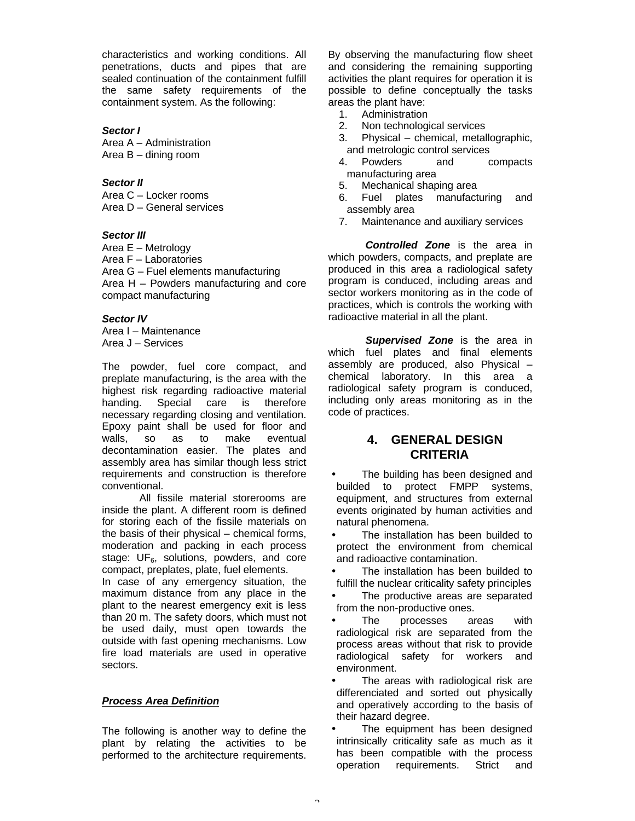characteristics and working conditions. All penetrations, ducts and pipes that are sealed continuation of the containment fulfill the same safety requirements of the containment system. As the following:

#### *Sector I*

Area A – Administration Area B – dining room

#### *Sector II*

Area C – Locker rooms Area D – General services

#### *Sector III*

Area E – Metrology Area F – Laboratories Area G – Fuel elements manufacturing Area H – Powders manufacturing and core compact manufacturing

## *Sector IV*

Area I – Maintenance Area J – Services

The powder, fuel core compact, and preplate manufacturing, is the area with the highest risk regarding radioactive material handing. Special care is therefore necessary regarding closing and ventilation. Epoxy paint shall be used for floor and walls, so as to make eventual decontamination easier. The plates and assembly area has similar though less strict requirements and construction is therefore conventional.

 All fissile material storerooms are inside the plant. A different room is defined for storing each of the fissile materials on the basis of their physical – chemical forms, moderation and packing in each process stage:  $UF_6$ , solutions, powders, and core compact, preplates, plate, fuel elements.

In case of any emergency situation, the maximum distance from any place in the plant to the nearest emergency exit is less than 20 m. The safety doors, which must not be used daily, must open towards the outside with fast opening mechanisms. Low fire load materials are used in operative sectors.

## *Process Area Definition*

The following is another way to define the plant by relating the activities to be performed to the architecture requirements. By observing the manufacturing flow sheet and considering the remaining supporting activities the plant requires for operation it is possible to define conceptually the tasks areas the plant have:

- 1. Administration
- 2. Non technological services
- 3. Physical chemical, metallographic, and metrologic control services
- 4. Powders and compacts manufacturing area
- 5. Mechanical shaping area
- 6. Fuel plates manufacturing and assembly area
- 7. Maintenance and auxiliary services

*Controlled Zone* is the area in which powders, compacts, and preplate are produced in this area a radiological safety program is conduced, including areas and sector workers monitoring as in the code of practices, which is controls the working with radioactive material in all the plant.

*Supervised Zone* is the area in which fuel plates and final elements assembly are produced, also Physical – chemical laboratory. In this area a radiological safety program is conduced, including only areas monitoring as in the code of practices.

# **4. GENERAL DESIGN CRITERIA**

- The building has been designed and builded to protect FMPP systems, equipment, and structures from external events originated by human activities and natural phenomena.
- The installation has been builded to protect the environment from chemical and radioactive contamination.
- The installation has been builded to fulfill the nuclear criticality safety principles
- The productive areas are separated from the non-productive ones.
- The processes areas with radiological risk are separated from the process areas without that risk to provide radiological safety for workers and environment.
- The areas with radiological risk are differenciated and sorted out physically and operatively according to the basis of their hazard degree.
- The equipment has been designed intrinsically criticality safe as much as it has been compatible with the process operation requirements. Strict and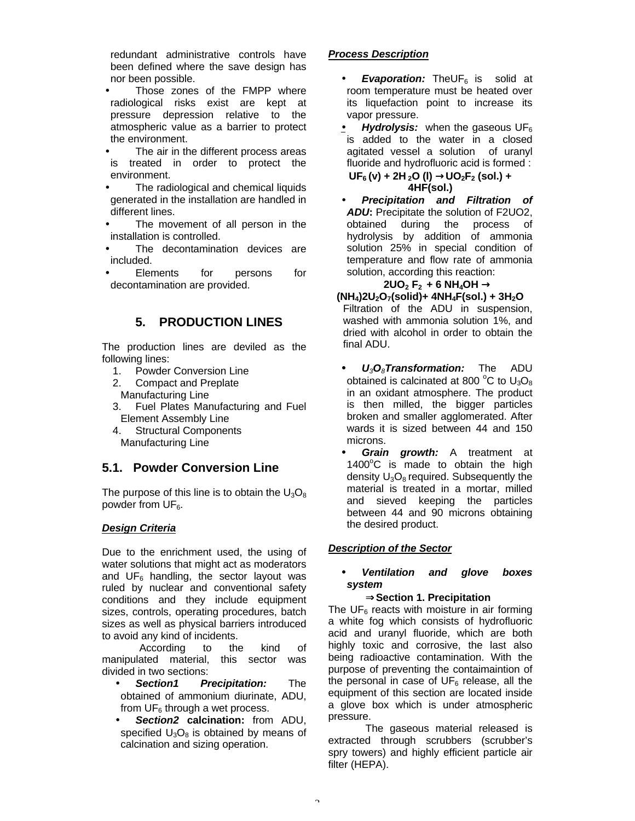redundant administrative controls have been defined where the save design has nor been possible.

- Those zones of the FMPP where radiological risks exist are kept at pressure depression relative to the atmospheric value as a barrier to protect the environment.
- The air in the different process areas is treated in order to protect the environment.
- The radiological and chemical liquids generated in the installation are handled in different lines.
- The movement of all person in the installation is controlled.
- The decontamination devices are included.
- Elements for persons for decontamination are provided.

# **5. PRODUCTION LINES**

The production lines are deviled as the following lines:

- 1. Powder Conversion Line
- 2. Compact and Preplate Manufacturing Line
- 3. Fuel Plates Manufacturing and Fuel Element Assembly Line
- 4. Structural Components Manufacturing Line

# **5.1. Powder Conversion Line**

The purpose of this line is to obtain the  $U_3O_8$ powder from  $UF<sub>6</sub>$ .

## *Design Criteria*

Due to the enrichment used, the using of water solutions that might act as moderators and  $UF_6$  handling, the sector layout was ruled by nuclear and conventional safety conditions and they include equipment sizes, controls, operating procedures, batch sizes as well as physical barriers introduced to avoid any kind of incidents.

 According to the kind of manipulated material, this sector was divided in two sections:

- *Section1 Precipitation:* The obtained of ammonium diurinate, ADU, from  $UF<sub>6</sub>$  through a wet process.
- *Section2* **calcination:** from ADU, specified  $U_3O_8$  is obtained by means of calcination and sizing operation.

## *Process Description*

- **Evaporation:** TheUF<sub>6</sub> is solid at room temperature must be heated over its liquefaction point to increase its vapor pressure.
- **Hydrolysis:** when the gaseous UF<sub>6</sub> is added to the water in a closed agitated vessel a solution of uranyl fluoride and hydrofluoric acid is formed :

**UF6 (v) + 2H 2O (l)** →**UO2F2 (sol.) + 4HF(sol.)**

• *Precipitation and Filtration of ADU***:** Precipitate the solution of F2UO2, obtained during the process of hydrolysis by addition of ammonia solution 25% in special condition of temperature and flow rate of ammonia solution, according this reaction:

## $2\text{UO}_2$  **F**<sub>2</sub> **+ 6 NH**<sub>4</sub>OH  $\rightarrow$

- **(NH4)2U2O7(solid)+ 4NH4F(sol.) + 3H2O** Filtration of the ADU in suspension, washed with ammonia solution 1%, and dried with alcohol in order to obtain the final ADU.
	- *• U3O8Transformation:* The ADU obtained is calcinated at 800  $^{\circ}$ C to U<sub>3</sub>O<sub>8</sub> in an oxidant atmosphere. The product is then milled, the bigger particles broken and smaller agglomerated. After wards it is sized between 44 and 150 microns.
- *Grain growth:* A treatment at  $1400^{\circ}$ C is made to obtain the high density  $U_3O_8$  required. Subsequently the material is treated in a mortar, milled and sieved keeping the particles between 44 and 90 microns obtaining the desired product.

## *Description of the Sector*

#### *• Ventilation and glove boxes system*

## ⇒**Section 1. Precipitation**

The  $UF<sub>6</sub>$  reacts with moisture in air forming a white fog which consists of hydrofluoric acid and uranyl fluoride, which are both highly toxic and corrosive, the last also being radioactive contamination. With the purpose of preventing the contaimaintion of the personal in case of  $UF<sub>6</sub>$  release, all the equipment of this section are located inside a glove box which is under atmospheric pressure.

 The gaseous material released is extracted through scrubbers (scrubber's spry towers) and highly efficient particle air filter (HEPA).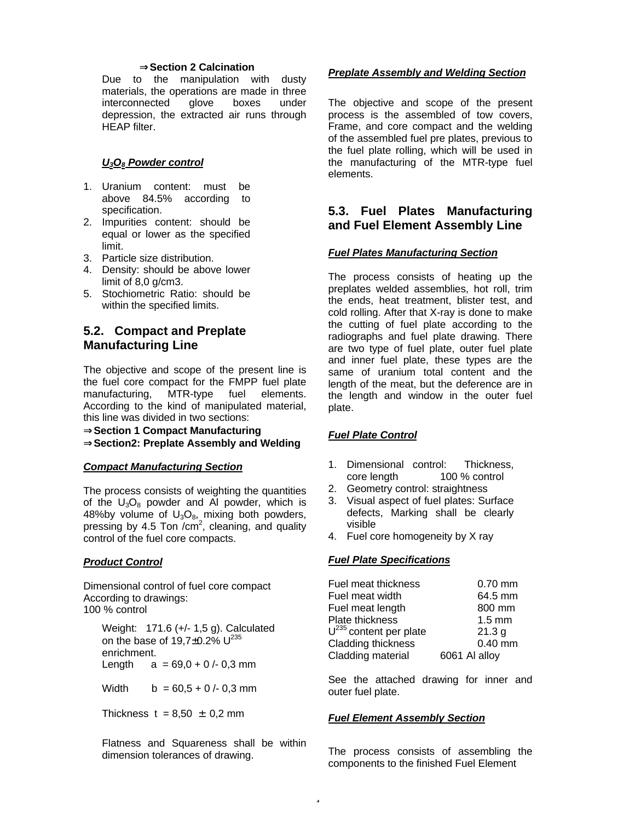#### ⇒**Section 2 Calcination**

Due to the manipulation with dusty materials, the operations are made in three interconnected glove boxes under depression, the extracted air runs through HEAP filter.

### *U3O8 Powder control*

- 1. Uranium content: must be above 84.5% according to specification.
- 2. Impurities content: should be equal or lower as the specified limit.
- 3. Particle size distribution.
- 4. Density: should be above lower limit of 8,0 g/cm3.
- 5. Stochiometric Ratio: should be within the specified limits.

# **5.2. Compact and Preplate Manufacturing Line**

The objective and scope of the present line is the fuel core compact for the FMPP fuel plate manufacturing, MTR-type fuel elements. According to the kind of manipulated material, this line was divided in two sections:

⇒**Section 1 Compact Manufacturing** ⇒**Section2: Preplate Assembly and Welding**

#### *Compact Manufacturing Section*

The process consists of weighting the quantities of the  $U_3O_8$  powder and AI powder, which is 48%by volume of  $U_3O_{8}$ , mixing both powders, pressing by 4.5 Ton / $cm^2$ , cleaning, and quality control of the fuel core compacts.

#### *Product Control*

Dimensional control of fuel core compact According to drawings: 100 % control

Weight: 171.6 (+/- 1,5 g). Calculated on the base of  $19.7 \pm 0.2\%$  U<sup>235</sup> enrichment. Length  $a = 69.0 + 0/- 0.3$  mm

Width  $b = 60.5 + 0.4$  0,3 mm

Thickness  $t = 8.50 \pm 0.2$  mm

Flatness and Squareness shall be within dimension tolerances of drawing.

### *Preplate Assembly and Welding Section*

The objective and scope of the present process is the assembled of tow covers, Frame, and core compact and the welding of the assembled fuel pre plates, previous to the fuel plate rolling, which will be used in the manufacturing of the MTR-type fuel elements.

# **5.3. Fuel Plates Manufacturing and Fuel Element Assembly Line**

#### *Fuel Plates Manufacturing Section*

The process consists of heating up the preplates welded assemblies, hot roll, trim the ends, heat treatment, blister test, and cold rolling. After that X-ray is done to make the cutting of fuel plate according to the radiographs and fuel plate drawing. There are two type of fuel plate, outer fuel plate and inner fuel plate, these types are the same of uranium total content and the length of the meat, but the deference are in the length and window in the outer fuel plate.

#### *Fuel Plate Control*

- 1. Dimensional control: Thickness, core length 100 % control
- 2. Geometry control: straightness
- 3. Visual aspect of fuel plates: Surface defects, Marking shall be clearly visible
- 4. Fuel core homogeneity by X ray

#### *Fuel Plate Specifications*

| Fuel meat thickness         | $0.70$ mm        |
|-----------------------------|------------------|
| Fuel meat width             | 64.5 mm          |
| Fuel meat length            | 800 mm           |
| Plate thickness             | $1.5 \text{ mm}$ |
| $U^{235}$ content per plate | 21.3 g           |
| Cladding thickness          | $0.40$ mm        |
| Cladding material           | 6061 Al alloy    |

See the attached drawing for inner and outer fuel plate.

#### *Fuel Element Assembly Section*

The process consists of assembling the components to the finished Fuel Element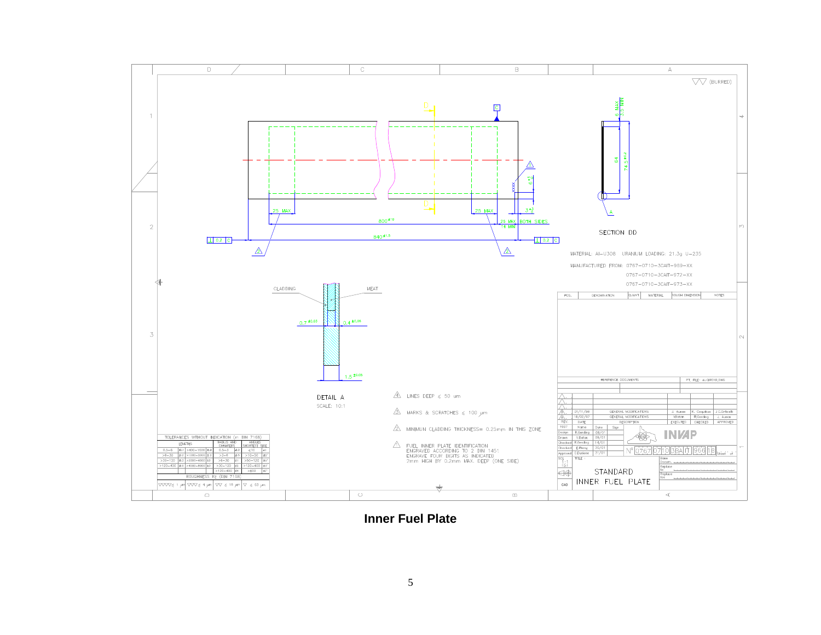

**Inner Fuel Plate**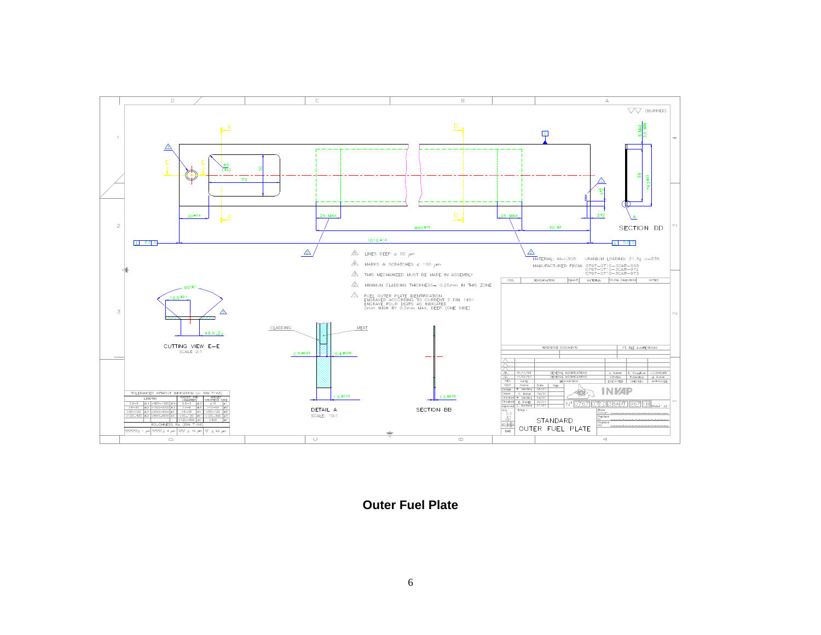

**Outer Fuel Plate**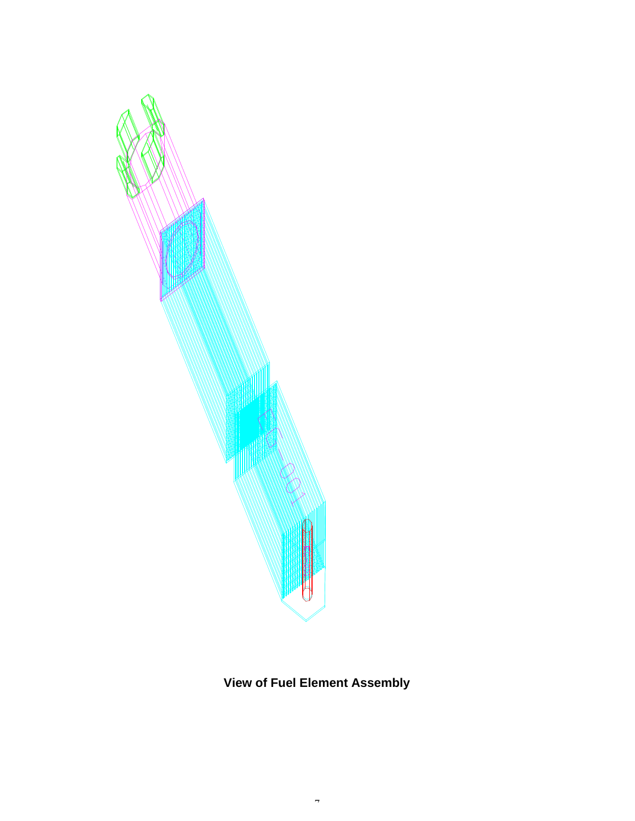

# **View of Fuel Element Assembly**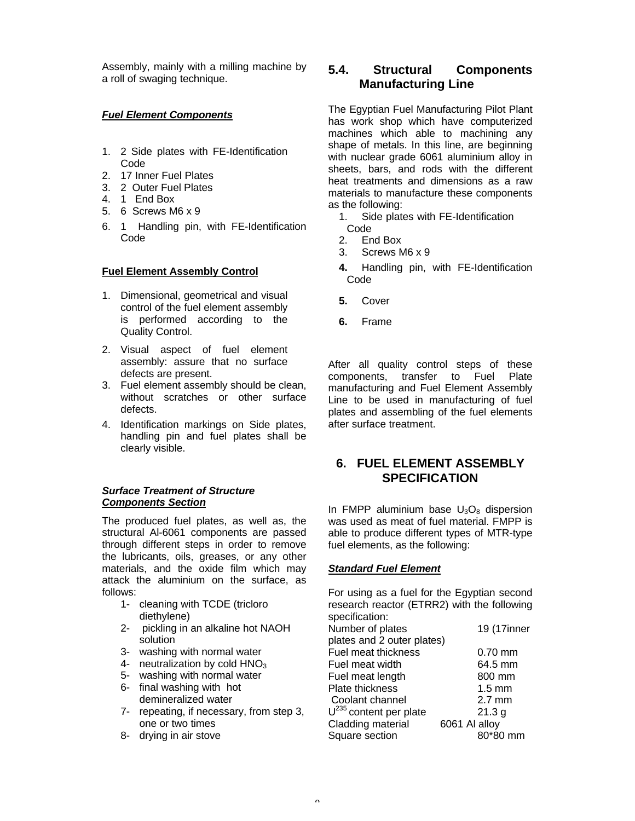Assembly, mainly with a milling machine by a roll of swaging technique.

## *Fuel Element Components*

- 1. 2 Side plates with FE-Identification Code
- 2. 17 Inner Fuel Plates
- 3. 2 Outer Fuel Plates
- 4. 1 End Box
- 5. 6 Screws M6 x 9
- 6. 1 Handling pin, with FE-Identification Code

#### **Fuel Element Assembly Control**

- 1. Dimensional, geometrical and visual control of the fuel element assembly is performed according to the Quality Control.
- 2. Visual aspect of fuel element assembly: assure that no surface defects are present.
- 3. Fuel element assembly should be clean, without scratches or other surface defects.
- 4. Identification markings on Side plates, handling pin and fuel plates shall be clearly visible.

#### *Surface Treatment of Structure Components Section*

The produced fuel plates, as well as, the structural Al-6061 components are passed through different steps in order to remove the lubricants, oils, greases, or any other materials, and the oxide film which may attack the aluminium on the surface, as follows:

- 1- cleaning with TCDE (tricloro diethylene)
- 2- pickling in an alkaline hot NAOH solution
- 3- washing with normal water
- 4- neutralization by cold  $HNO<sub>3</sub>$
- 5- washing with normal water
- 6- final washing with hot demineralized water
- 7- repeating, if necessary, from step 3, one or two times
- 8- drying in air stove

# **5.4. Structural Components Manufacturing Line**

The Egyptian Fuel Manufacturing Pilot Plant has work shop which have computerized machines which able to machining any shape of metals. In this line, are beginning with nuclear grade 6061 aluminium alloy in sheets, bars, and rods with the different heat treatments and dimensions as a raw materials to manufacture these components as the following:

- 1. Side plates with FE-Identification Code<br>2. En
- End Box
- 3. Screws M6 x 9
- **4.** Handling pin, with FE-Identification Code
- **5.** Cover
- **6.** Frame

After all quality control steps of these components, transfer to Fuel Plate manufacturing and Fuel Element Assembly Line to be used in manufacturing of fuel plates and assembling of the fuel elements after surface treatment.

# **6. FUEL ELEMENT ASSEMBLY SPECIFICATION**

In FMPP aluminium base  $U_3O_8$  dispersion was used as meat of fuel material. FMPP is able to produce different types of MTR-type fuel elements, as the following:

## *Standard Fuel Element*

For using as a fuel for the Egyptian second research reactor (ETRR2) with the following specification:

Number of plates 19 (17inner plates and 2 outer plates) Fuel meat thickness 0.70 mm Fuel meat width 64.5 mm Fuel meat length 800 mm Plate thickness and the 1.5 mm Coolant channel 2.7 mm  $U^{235}$  content per plate 21.3 g Cladding material 6061 Al alloy Square section 80\*80 mm